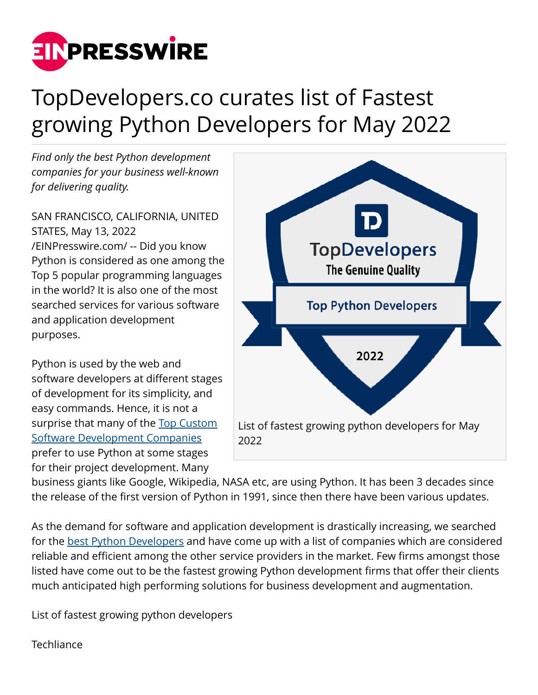

## TopDevelopers.co curates list of Fastest growing Python Developers for May 2022

*Find only the best Python development companies for your business well-known for delivering quality.*

SAN FRANCISCO, CALIFORNIA, UNITED STATES, May 13, 2022 [/EINPresswire.com/](http://www.einpresswire.com) -- Did you know Python is considered as one among the Top 5 popular programming languages in the world? It is also one of the most searched services for various software and application development purposes.

Python is used by the web and software developers at different stages of development for its simplicity, and easy commands. Hence, it is not a surprise that many of the [Top Custom](https://www.topdevelopers.co/directory/software-development-companies) [Software Development Companies](https://www.topdevelopers.co/directory/software-development-companies) prefer to use Python at some stages for their project development. Many



business giants like Google, Wikipedia, NASA etc, are using Python. It has been 3 decades since the release of the first version of Python in 1991, since then there have been various updates.

As the demand for software and application development is drastically increasing, we searched for the [best Python Developers](https://www.topdevelopers.co/directory/developers/python) and have come up with a list of companies which are considered reliable and efficient among the other service providers in the market. Few firms amongst those listed have come out to be the fastest growing Python development firms that offer their clients much anticipated high performing solutions for business development and augmentation.

List of fastest growing python developers

**Techliance**